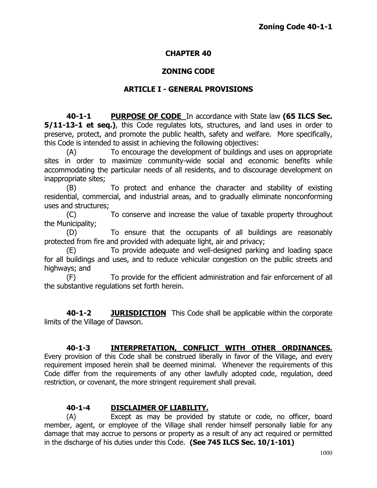## **CHAPTER 40**

## **ZONING CODE**

#### **ARTICLE I - GENERAL PROVISIONS**

**40-1-1 PURPOSE OF CODE** In accordance with State law **(65 ILCS Sec. 5/11-13-1 et seq.)**, this Code regulates lots, structures, and land uses in order to preserve, protect, and promote the public health, safety and welfare. More specifically, this Code is intended to assist in achieving the following objectives:

(A) To encourage the development of buildings and uses on appropriate sites in order to maximize community-wide social and economic benefits while accommodating the particular needs of all residents, and to discourage development on inappropriate sites;

(B) To protect and enhance the character and stability of existing residential, commercial, and industrial areas, and to gradually eliminate nonconforming uses and structures;

(C) To conserve and increase the value of taxable property throughout the Municipality;

(D) To ensure that the occupants of all buildings are reasonably protected from fire and provided with adequate light, air and privacy;

(E) To provide adequate and well-designed parking and loading space for all buildings and uses, and to reduce vehicular congestion on the public streets and highways; and

(F) To provide for the efficient administration and fair enforcement of all the substantive regulations set forth herein.

**40-1-2 JURISDICTION** This Code shall be applicable within the corporate limits of the Village of Dawson.

## **40-1-3 INTERPRETATION, CONFLICT WITH OTHER ORDINANCES.**

Every provision of this Code shall be construed liberally in favor of the Village, and every requirement imposed herein shall be deemed minimal. Whenever the requirements of this Code differ from the requirements of any other lawfully adopted code, regulation, deed restriction, or covenant, the more stringent requirement shall prevail.

#### **40-1-4 DISCLAIMER OF LIABILITY.**

(A) Except as may be provided by statute or code, no officer, board member, agent, or employee of the Village shall render himself personally liable for any damage that may accrue to persons or property as a result of any act required or permitted in the discharge of his duties under this Code. **(See 745 ILCS Sec. 10/1-101)**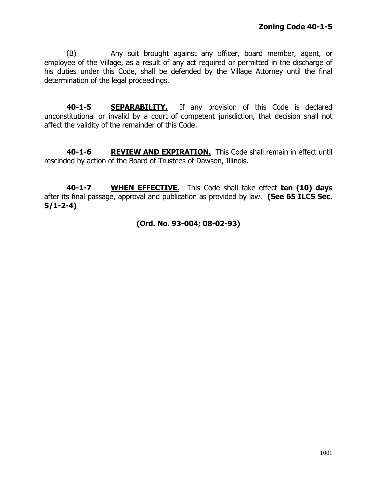(B) Any suit brought against any officer, board member, agent, or employee of the Village, as a result of any act required or permitted in the discharge of his duties under this Code, shall be defended by the Village Attorney until the final determination of the legal proceedings.

**40-1-5 SEPARABILITY.** If any provision of this Code is declared unconstitutional or invalid by a court of competent jurisdiction, that decision shall not affect the validity of the remainder of this Code.

**40-1-6 REVIEW AND EXPIRATION.** This Code shall remain in effect until rescinded by action of the Board of Trustees of Dawson, Illinois.

**40-1-7 WHEN EFFECTIVE.** This Code shall take effect **ten (10) days** after its final passage, approval and publication as provided by law. **(See 65 ILCS Sec. 5/1-2-4)**

# **(Ord. No. 93-004; 08-02-93)**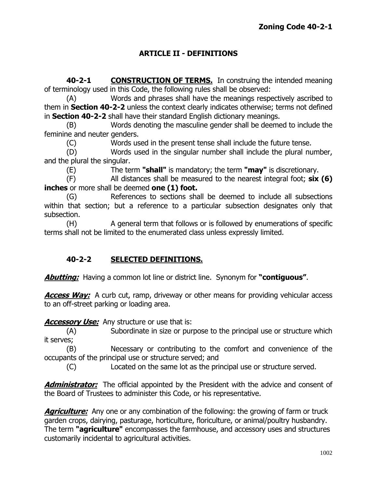# **ARTICLE II - DEFINITIONS**

**40-2-1 CONSTRUCTION OF TERMS.** In construing the intended meaning of terminology used in this Code, the following rules shall be observed:

(A) Words and phrases shall have the meanings respectively ascribed to them in **Section 40-2-2** unless the context clearly indicates otherwise; terms not defined in **Section 40-2-2** shall have their standard English dictionary meanings.

(B) Words denoting the masculine gender shall be deemed to include the feminine and neuter genders.

(C) Words used in the present tense shall include the future tense.

(D) Words used in the singular number shall include the plural number, and the plural the singular.

(E) The term **"shall"** is mandatory; the term **"may"** is discretionary.

(F) All distances shall be measured to the nearest integral foot; **six (6) inches** or more shall be deemed **one (1) foot.**

(G) References to sections shall be deemed to include all subsections within that section; but a reference to a particular subsection designates only that subsection.

(H) A general term that follows or is followed by enumerations of specific terms shall not be limited to the enumerated class unless expressly limited.

# **40-2-2 SELECTED DEFINITIONS.**

**Abutting:** Having a common lot line or district line. Synonym for **"contiguous"**.

**Access Way:** A curb cut, ramp, driveway or other means for providing vehicular access to an off-street parking or loading area.

**Accessory Use:** Any structure or use that is:

(A) Subordinate in size or purpose to the principal use or structure which it serves;

(B) Necessary or contributing to the comfort and convenience of the occupants of the principal use or structure served; and

(C) Located on the same lot as the principal use or structure served.

**Administrator:** The official appointed by the President with the advice and consent of the Board of Trustees to administer this Code, or his representative.

**Agriculture:** Any one or any combination of the following: the growing of farm or truck garden crops, dairying, pasturage, horticulture, floriculture, or animal/poultry husbandry. The term **"agriculture"** encompasses the farmhouse, and accessory uses and structures customarily incidental to agricultural activities.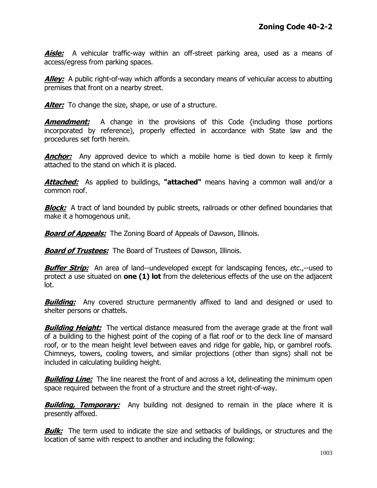**Aisle:** A vehicular traffic-way within an off-street parking area, used as a means of access/egress from parking spaces.

**Alley:** A public right-of-way which affords a secondary means of vehicular access to abutting premises that front on a nearby street.

**Alter:** To change the size, shape, or use of a structure.

**Amendment:** A change in the provisions of this Code {including those portions incorporated by reference), properly effected in accordance with State law and the procedures set forth herein.

**Anchor:** Any approved device to which a mobile home is tied down to keep it firmly attached to the stand on which it is placed.

**Attached:** As applied to buildings, **"attached"** means having a common wall and/or a common roof.

**Block:** A tract of land bounded by public streets, railroads or other defined boundaries that make it a homogenous unit.

**Board of Appeals:** The Zoning Board of Appeals of Dawson, Illinois.

**Board of Trustees:** The Board of Trustees of Dawson, Illinois.

**Buffer Strip:** An area of land--undeveloped except for landscaping fences, etc.,--used to protect a use situated on **one (1) lot** from the deleterious effects of the use on the adjacent lot.

**Building:** Any covered structure permanently affixed to land and designed or used to shelter persons or chattels.

**Building Height:** The vertical distance measured from the average grade at the front wall of a building to the highest point of the coping of a flat roof or to the deck line of mansard roof, or to the mean height level between eaves and ridge for gable, hip, or gambrel roofs. Chimneys, towers, cooling towers, and similar projections (other than signs) shall not be included in calculating building height.

**Building Line:** The line nearest the front of and across a lot, delineating the minimum open space required between the front of a structure and the street right-of-way.

**Building, Temporary:** Any building not designed to remain in the place where it is presently affixed.

**Bulk:** The term used to indicate the size and setbacks of buildings, or structures and the location of same with respect to another and including the following: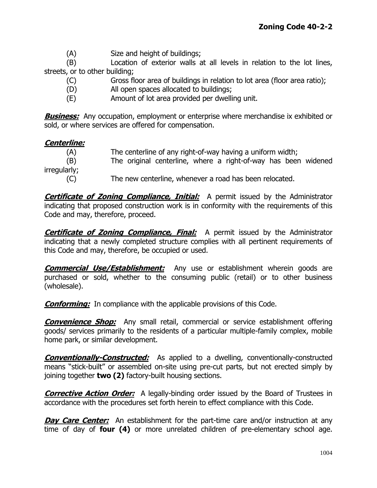(A) Size and height of buildings;

(B) Location of exterior walls at all levels in relation to the lot lines, streets, or to other building;

- (C) Gross floor area of buildings in relation to lot area (floor area ratio);
- (D) All open spaces allocated to buildings;
- (E) Amount of lot area provided per dwelling unit.

**Business:** Any occupation, employment or enterprise where merchandise ix exhibited or sold, or where services are offered for compensation.

## **Centerline:**

(A) The centerline of any right-of-way having a uniform width; (B) The original centerline, where a right-of-way has been widened irregularly; (C) The new centerline, whenever a road has been relocated.

**Certificate of Zoning Compliance, Initial:** A permit issued by the Administrator indicating that proposed construction work is in conformity with the requirements of this Code and may, therefore, proceed.

**Certificate of Zoning Compliance, Final:** A permit issued by the Administrator indicating that a newly completed structure complies with all pertinent requirements of this Code and may, therefore, be occupied or used.

**Commercial Use/Establishment:** Any use or establishment wherein goods are purchased or sold, whether to the consuming public (retail) or to other business (wholesale).

**Conforming:** In compliance with the applicable provisions of this Code.

**Convenience Shop:** Any small retail, commercial or service establishment offering goods/ services primarily to the residents of a particular multiple-family complex, mobile home park, or similar development.

**Conventionally-Constructed:** As applied to a dwelling, conventionally-constructed means "stick-built" or assembled on-site using pre-cut parts, but not erected simply by joining together **two (2)** factory-built housing sections.

**Corrective Action Order:** A legally-binding order issued by the Board of Trustees in accordance with the procedures set forth herein to effect compliance with this Code.

**Day Care Center:** An establishment for the part-time care and/or instruction at any time of day of **four (4)** or more unrelated children of pre-elementary school age.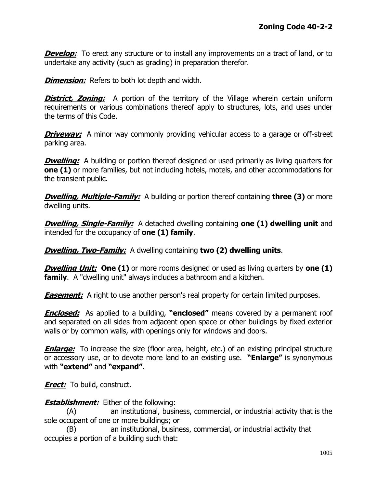**Develop:** To erect any structure or to install any improvements on a tract of land, or to undertake any activity (such as grading) in preparation therefor.

**Dimension:** Refers to both lot depth and width.

**District, Zoning:** A portion of the territory of the Village wherein certain uniform requirements or various combinations thereof apply to structures, lots, and uses under the terms of this Code.

**Driveway:** A minor way commonly providing vehicular access to a garage or off-street parking area.

**Dwelling:** A building or portion thereof designed or used primarily as living quarters for **one (1)** or more families, but not including hotels, motels, and other accommodations for the transient public.

*Dwelling, Multiple-Family:* A building or portion thereof containing **three (3)** or more dwelling units.

**Dwelling, Single-Family:** A detached dwelling containing **one (1) dwelling unit** and intended for the occupancy of **one (1) family**.

**Dwelling, Two-Family:** A dwelling containing **two (2) dwelling units**.

*Dwelling Unit:* **One (1)** or more rooms designed or used as living quarters by one (1) **family**. A "dwelling unit" always includes a bathroom and a kitchen.

**Easement:** A right to use another person's real property for certain limited purposes.

**Enclosed:** As applied to a building, **"enclosed"** means covered by a permanent roof and separated on all sides from adjacent open space or other buildings by fixed exterior walls or by common walls, with openings only for windows and doors.

**Enlarge:** To increase the size (floor area, height, etc.) of an existing principal structure or accessory use, or to devote more land to an existing use. **"Enlarge"** is synonymous with **"extend"** and **"expand"**.

**Erect:** To build, construct.

**Establishment:** Either of the following:

(A) an institutional, business, commercial, or industrial activity that is the sole occupant of one or more buildings; or

(B) an institutional, business, commercial, or industrial activity that occupies a portion of a building such that: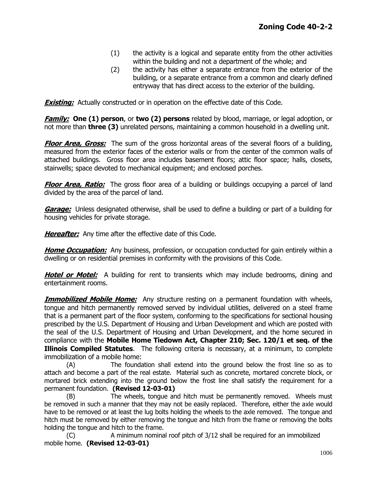- (1) the activity is a logical and separate entity from the other activities within the building and not a department of the whole; and
- (2) the activity has either a separate entrance from the exterior of the building, or a separate entrance from a common and clearly defined entryway that has direct access to the exterior of the building.

**Existing:** Actually constructed or in operation on the effective date of this Code.

**Family: One (1) person**, or **two (2) persons** related by blood, marriage, or legal adoption, or not more than **three (3)** unrelated persons, maintaining a common household in a dwelling unit.

**Floor Area, Gross:** The sum of the gross horizontal areas of the several floors of a building, measured from the exterior faces of the exterior walls or from the center of the common walls of attached buildings. Gross floor area includes basement floors; attic floor space; halls, closets, stairwells; space devoted to mechanical equipment; and enclosed porches.

**Floor Area, Ratio:** The gross floor area of a building or buildings occupying a parcel of land divided by the area of the parcel of land.

**Garage:** Unless designated otherwise, shall be used to define a building or part of a building for housing vehicles for private storage.

**Hereafter:** Any time after the effective date of this Code.

**Home Occupation:** Any business, profession, or occupation conducted for gain entirely within a dwelling or on residential premises in conformity with the provisions of this Code.

**Hotel or Motel:** A building for rent to transients which may include bedrooms, dining and entertainment rooms.

**Immobilized Mobile Home:** Any structure resting on a permanent foundation with wheels, tongue and hitch permanently removed served by individual utilities, delivered on a steel frame that is a permanent part of the floor system, conforming to the specifications for sectional housing prescribed by the U.S. Department of Housing and Urban Development and which are posted with the seal of the U.S. Department of Housing and Urban Development, and the home secured in compliance with the **Mobile Home Tiedown Act, Chapter 210; Sec. 120/1 et seq. of the Illinois Compiled Statutes**. The following criteria is necessary, at a minimum, to complete immobilization of a mobile home:

(A) The foundation shall extend into the ground below the frost line so as to attach and become a part of the real estate. Material such as concrete, mortared concrete block, or mortared brick extending into the ground below the frost line shall satisfy the requirement for a permanent foundation. **(Revised 12-03-01)**

(B) The wheels, tongue and hitch must be permanently removed. Wheels must be removed in such a manner that they may not be easily replaced. Therefore, either the axle would have to be removed or at least the lug bolts holding the wheels to the axle removed. The tongue and hitch must be removed by either removing the tongue and hitch from the frame or removing the bolts holding the tongue and hitch to the frame.

(C) A minimum nominal roof pitch of 3/12 shall be required for an immobilized mobile home. **(Revised 12-03-01)**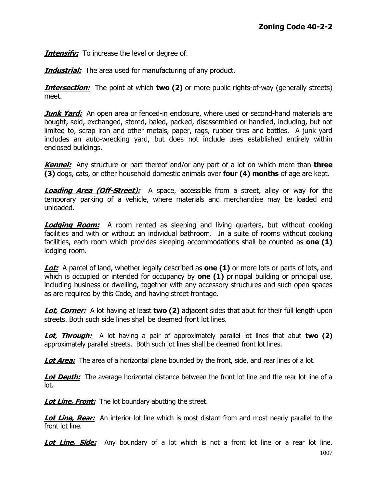**Intensify:** To increase the level or degree of.

**Industrial:** The area used for manufacturing of any product.

**Intersection:** The point at which **two (2)** or more public rights-of-way (generally streets) meet.

**Junk Yard:** An open area or fenced-in enclosure, where used or second-hand materials are bought, sold, exchanged, stored, baled, packed, disassembled or handled, including, but not limited to, scrap iron and other metals, paper, rags, rubber tires and bottles. A junk yard includes an auto-wrecking yard, but does not include uses established entirely within enclosed buildings.

**Kennel:** Any structure or part thereof and/or any part of a lot on which more than **three (3)** dogs, cats, or other household domestic animals over **four (4) months** of age are kept.

**Loading Area (Off-Street):** A space, accessible from a street, alley or way for the temporary parking of a vehicle, where materials and merchandise may be loaded and unloaded.

**Lodging Room:** A room rented as sleeping and living quarters, but without cooking facilities and with or without an individual bathroom. In a suite of rooms without cooking facilities, each room which provides sleeping accommodations shall be counted as **one (1)** lodging room.

Lot: A parcel of land, whether legally described as **one (1)** or more lots or parts of lots, and which is occupied or intended for occupancy by **one (1)** principal building or principal use, including business or dwelling, together with any accessory structures and such open spaces as are required by this Code, and having street frontage.

**Lot, Corner:** A lot having at least **two (2)** adjacent sides that abut for their full length upon streets. Both such side lines shall be deemed front lot lines.

**Lot, Through:** A lot having a pair of approximately parallel lot lines that abut **two (2)** approximately parallel streets. Both such lot lines shall be deemed front lot lines.

**Lot Area:** The area of a horizontal plane bounded by the front, side, and rear lines of a lot.

**Lot Depth:** The average horizontal distance between the front lot line and the rear lot line of a lot.

**Lot Line, Front:** The lot boundary abutting the street.

**Lot Line, Rear:** An interior lot line which is most distant from and most nearly parallel to the front lot line.

**Lot Line, Side:** Any boundary of a lot which is not a front lot line or a rear lot line.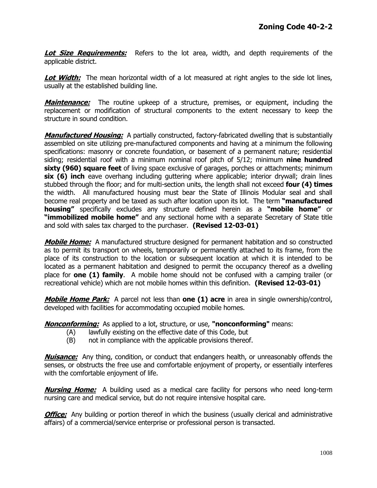**Lot Size Requirements:** Refers to the lot area, width, and depth requirements of the applicable district.

**Lot Width:** The mean horizontal width of a lot measured at right angles to the side lot lines, usually at the established building line.

**Maintenance:** The routine upkeep of a structure, premises, or equipment, including the replacement or modification of structural components to the extent necessary to keep the structure in sound condition.

**Manufactured Housing:** A partially constructed, factory-fabricated dwelling that is substantially assembled on site utilizing pre-manufactured components and having at a minimum the following specifications: masonry or concrete foundation, or basement of a permanent nature; residential siding; residential roof with a minimum nominal roof pitch of 5/12; minimum **nine hundred sixty (960) square feet** of living space exclusive of garages, porches or attachments; minimum **six (6) inch** eave overhang including guttering where applicable; interior drywall; drain lines stubbed through the floor; and for multi-section units, the length shall not exceed **four (4) times** the width. All manufactured housing must bear the State of Illinois Modular seal and shall become real property and be taxed as such after location upon its lot. The term **"manufactured housing"** specifically excludes any structure defined herein as a **"mobile home"** or **"immobilized mobile home"** and any sectional home with a separate Secretary of State title and sold with sales tax charged to the purchaser. **(Revised 12-03-01)**

**Mobile Home:** A manufactured structure designed for permanent habitation and so constructed as to permit its transport on wheels, temporarily or permanently attached to its frame, from the place of its construction to the location or subsequent location at which it is intended to be located as a permanent habitation and designed to permit the occupancy thereof as a dwelling place for **one (1) family**. A mobile home should not be confused with a camping trailer (or recreational vehicle) which are not mobile homes within this definition. **(Revised 12-03-01)**

**Mobile Home Park:** A parcel not less than **one (1) acre** in area in single ownership/control, developed with facilities for accommodating occupied mobile homes.

**Nonconforming:** As applied to a lot, structure, or use, **"nonconforming"** means:

- (A) lawfully existing on the effective date of this Code, but
- (B) not in compliance with the applicable provisions thereof.

**Nuisance:** Any thing, condition, or conduct that endangers health, or unreasonably offends the senses, or obstructs the free use and comfortable enjoyment of property, or essentially interferes with the comfortable enjoyment of life.

**Nursing Home:** A building used as a medical care facility for persons who need long-term nursing care and medical service, but do not require intensive hospital care.

**Office:** Any building or portion thereof in which the business (usually clerical and administrative affairs) of a commercial/service enterprise or professional person is transacted.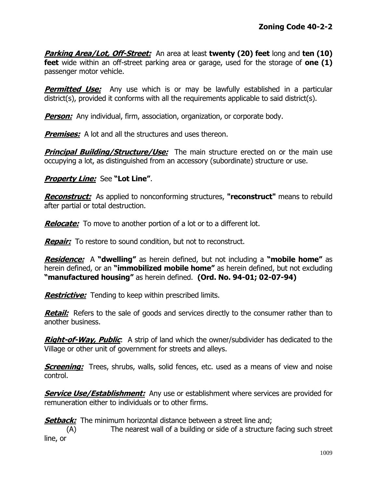**Parking Area/Lot, Off-Street:** An area at least **twenty (20) feet** long and **ten (10) feet** wide within an off-street parking area or garage, used for the storage of **one (1)** passenger motor vehicle.

**Permitted Use:** Any use which is or may be lawfully established in a particular district(s), provided it conforms with all the requirements applicable to said district(s).

**Person:** Any individual, firm, association, organization, or corporate body.

**Premises:** A lot and all the structures and uses thereon.

**Principal Building/Structure/Use:** The main structure erected on or the main use occupying a lot, as distinguished from an accessory (subordinate) structure or use.

#### **Property Line:** See **"Lot Line"**.

**Reconstruct:** As applied to nonconforming structures, **"reconstruct"** means to rebuild after partial or total destruction.

**Relocate:** To move to another portion of a lot or to a different lot.

**Repair:** To restore to sound condition, but not to reconstruct.

**Residence:** A **"dwelling"** as herein defined, but not including a **"mobile home"** as herein defined, or an **"immobilized mobile home"** as herein defined, but not excluding **"manufactured housing"** as herein defined. **(Ord. No. 94-01; 02-07-94)**

**Restrictive:** Tending to keep within prescribed limits.

**Retail:** Refers to the sale of goods and services directly to the consumer rather than to another business.

**Right-of-Way, Public**: A strip of land which the owner/subdivider has dedicated to the Village or other unit of government for streets and alleys.

**Screening:** Trees, shrubs, walls, solid fences, etc. used as a means of view and noise control.

**Service Use/Establishment:** Any use or establishment where services are provided for remuneration either to individuals or to other firms.

**Setback:** The minimum horizontal distance between a street line and;

(A) The nearest wall of a building or side of a structure facing such street line, or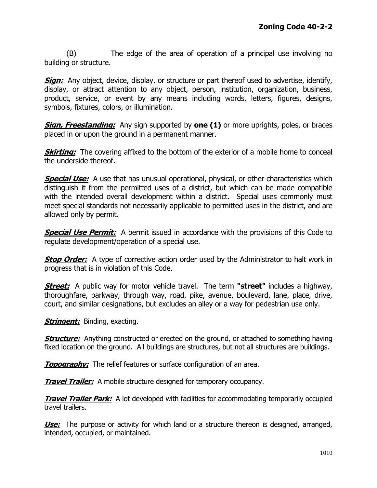(B) The edge of the area of operation of a principal use involving no building or structure.

**Sign:** Any object, device, display, or structure or part thereof used to advertise, identify, display, or attract attention to any object, person, institution, organization, business, product, service, or event by any means including words, letters, figures, designs, symbols, fixtures, colors, or illumination.

**Sign, Freestanding:** Any sign supported by **one (1)** or more uprights, poles, or braces placed in or upon the ground in a permanent manner.

**Skirting:** The covering affixed to the bottom of the exterior of a mobile home to conceal the underside thereof.

**Special Use:** A use that has unusual operational, physical, or other characteristics which distinguish it from the permitted uses of a district, but which can be made compatible with the intended overall development within a district. Special uses commonly must meet special standards not necessarily applicable to permitted uses in the district, and are allowed only by permit.

**Special Use Permit:** A permit issued in accordance with the provisions of this Code to regulate development/operation of a special use.

**Stop Order:** A type of corrective action order used by the Administrator to halt work in progress that is in violation of this Code.

**Street:** A public way for motor vehicle travel. The term **"street"** includes a highway, thoroughfare, parkway, through way, road, pike, avenue, boulevard, lane, place, drive, court, and similar designations, but excludes an alley or a way for pedestrian use only.

**Stringent:** Binding, exacting.

**Structure:** Anything constructed or erected on the ground, or attached to something having fixed location on the ground. All buildings are structures, but not all structures are buildings.

**Topography:** The relief features or surface configuration of an area.

**Travel Trailer:** A mobile structure designed for temporary occupancy.

**Travel Trailer Park:** A lot developed with facilities for accommodating temporarily occupied travel trailers.

**Use:** The purpose or activity for which land or a structure thereon is designed, arranged, intended, occupied, or maintained.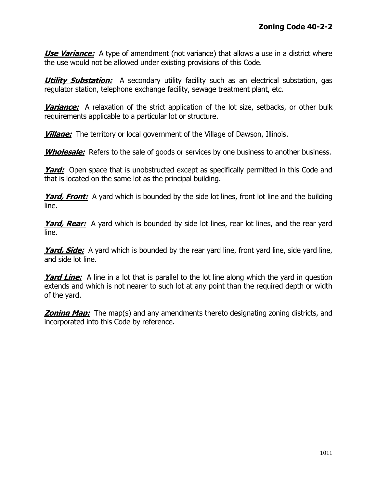**Use Variance:** A type of amendment (not variance) that allows a use in a district where the use would not be allowed under existing provisions of this Code.

**Utility Substation:** A secondary utility facility such as an electrical substation, gas regulator station, telephone exchange facility, sewage treatment plant, etc.

**Variance:** A relaxation of the strict application of the lot size, setbacks, or other bulk requirements applicable to a particular lot or structure.

**Village:** The territory or local government of the Village of Dawson, Illinois.

**Wholesale:** Refers to the sale of goods or services by one business to another business.

**Yard:** Open space that is unobstructed except as specifically permitted in this Code and that is located on the same lot as the principal building.

**Yard, Front:** A yard which is bounded by the side lot lines, front lot line and the building line.

**Yard, Rear:** A yard which is bounded by side lot lines, rear lot lines, and the rear yard line.

**Yard, Side:** A yard which is bounded by the rear yard line, front yard line, side yard line, and side lot line.

**Yard Line:** A line in a lot that is parallel to the lot line along which the yard in question extends and which is not nearer to such lot at any point than the required depth or width of the yard.

**Zoning Map:** The map(s) and any amendments thereto designating zoning districts, and incorporated into this Code by reference.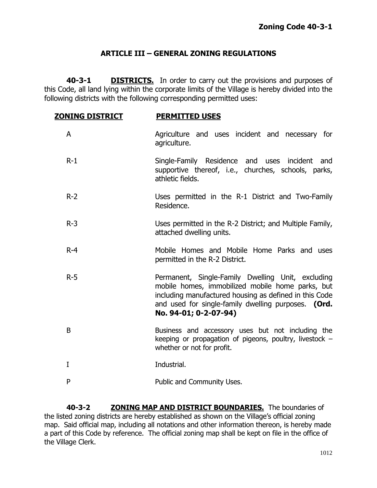## **ARTICLE III – GENERAL ZONING REGULATIONS**

**40-3-1 DISTRICTS.** In order to carry out the provisions and purposes of this Code, all land lying within the corporate limits of the Village is hereby divided into the following districts with the following corresponding permitted uses:

| <u>ZONING DISTRICT</u> | <b>PERMITTED USES</b>                                                                                                                                                                                                                           |
|------------------------|-------------------------------------------------------------------------------------------------------------------------------------------------------------------------------------------------------------------------------------------------|
| A                      | Agriculture and uses incident and necessary for<br>agriculture.                                                                                                                                                                                 |
| $R-1$                  | Single-Family Residence and uses incident and<br>supportive thereof, i.e., churches, schools, parks,<br>athletic fields.                                                                                                                        |
| $R-2$                  | Uses permitted in the R-1 District and Two-Family<br>Residence.                                                                                                                                                                                 |
| $R-3$                  | Uses permitted in the R-2 District; and Multiple Family,<br>attached dwelling units.                                                                                                                                                            |
| $R - 4$                | Mobile Homes and Mobile Home Parks and uses<br>permitted in the R-2 District.                                                                                                                                                                   |
| $R-5$                  | Permanent, Single-Family Dwelling Unit, excluding<br>mobile homes, immobilized mobile home parks, but<br>including manufactured housing as defined in this Code<br>and used for single-family dwelling purposes. (Ord.<br>No. 94-01; 0-2-07-94) |
| B                      | Business and accessory uses but not including the<br>keeping or propagation of pigeons, poultry, livestock $-$<br>whether or not for profit.                                                                                                    |
| I                      | Industrial.                                                                                                                                                                                                                                     |
| P                      | Public and Community Uses.                                                                                                                                                                                                                      |
|                        |                                                                                                                                                                                                                                                 |

**40-3-2 ZONING MAP AND DISTRICT BOUNDARIES.** The boundaries of the listed zoning districts are hereby established as shown on the Village's official zoning map. Said official map, including all notations and other information thereon, is hereby made a part of this Code by reference. The official zoning map shall be kept on file in the office of the Village Clerk.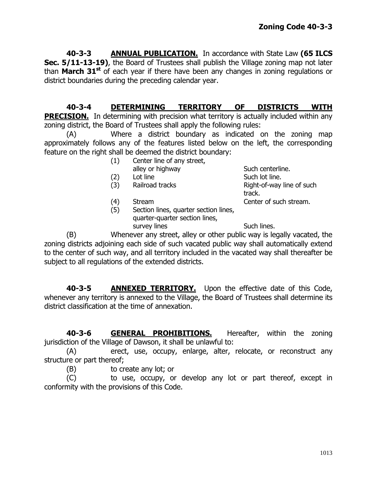**40-3-3 ANNUAL PUBLICATION.** In accordance with State Law **(65 ILCS Sec. 5/11-13-19)**, the Board of Trustees shall publish the Village zoning map not later than **March 31st** of each year if there have been any changes in zoning regulations or district boundaries during the preceding calendar year.

**40-3-4 DETERMINING TERRITORY OF DISTRICTS WITH PRECISION.** In determining with precision what territory is actually included within any zoning district, the Board of Trustees shall apply the following rules:

(A) Where a district boundary as indicated on the zoning map approximately follows any of the features listed below on the left, the corresponding feature on the right shall be deemed the district boundary:

- (1) Center line of any street,
	- alley or highway Such centerline.
- (2) Lot line Such lot line.
- 
- 
- (5) Section lines, quarter section lines, quarter-quarter section lines, survey lines Such lines.

(3) Railroad tracks Right-of-way line of such track. (4) Stream Center of such stream.

(B) Whenever any street, alley or other public way is legally vacated, the zoning districts adjoining each side of such vacated public way shall automatically extend to the center of such way, and all territory included in the vacated way shall thereafter be subject to all regulations of the extended districts.

**40-3-5 ANNEXED TERRITORY.** Upon the effective date of this Code, whenever any territory is annexed to the Village, the Board of Trustees shall determine its district classification at the time of annexation.

**40-3-6 GENERAL PROHIBITIONS.** Hereafter, within the zoning jurisdiction of the Village of Dawson, it shall be unlawful to:

(A) erect, use, occupy, enlarge, alter, relocate, or reconstruct any structure or part thereof;

(B) to create any lot; or

(C) to use, occupy, or develop any lot or part thereof, except in conformity with the provisions of this Code.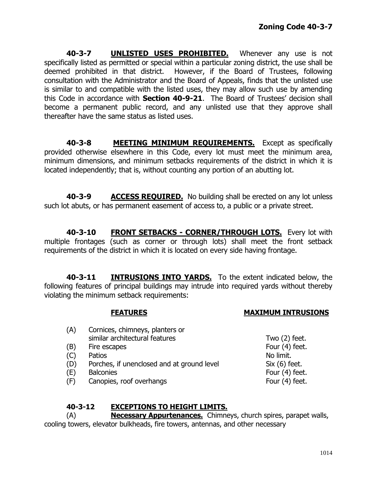**40-3-7 UNLISTED USES PROHIBITED.** Whenever any use is not specifically listed as permitted or special within a particular zoning district, the use shall be deemed prohibited in that district. However, if the Board of Trustees, following consultation with the Administrator and the Board of Appeals, finds that the unlisted use is similar to and compatible with the listed uses, they may allow such use by amending this Code in accordance with **Section 40-9-21**. The Board of Trustees' decision shall become a permanent public record, and any unlisted use that they approve shall thereafter have the same status as listed uses.

**40-3-8 MEETING MINIMUM REQUIREMENTS.** Except as specifically provided otherwise elsewhere in this Code, every lot must meet the minimum area, minimum dimensions, and minimum setbacks requirements of the district in which it is located independently; that is, without counting any portion of an abutting lot.

**40-3-9 ACCESS REQUIRED.** No building shall be erected on any lot unless such lot abuts, or has permanent easement of access to, a public or a private street.

**40-3-10 FRONT SETBACKS - CORNER/THROUGH LOTS.** Every lot with multiple frontages (such as corner or through lots) shall meet the front setback requirements of the district in which it is located on every side having frontage.

**40-3-11 INTRUSIONS INTO YARDS.** To the extent indicated below, the following features of principal buildings may intrude into required yards without thereby violating the minimum setback requirements:

## **FEATURES MAXIMUM INTRUSIONS**

(A) Cornices, chimneys, planters or similar architectural features Two (2) feet. (B) Fire escapes Four (4) feet. (C) Patios No limit. (D) Porches, if unenclosed and at ground level Six (6) feet. (E) Balconies Four (4) feet. (F) Canopies, roof overhangs Four (4) feet.

## **40-3-12 EXCEPTIONS TO HEIGHT LIMITS.**

(A) **Necessary Appurtenances.** Chimneys, church spires, parapet walls, cooling towers, elevator bulkheads, fire towers, antennas, and other necessary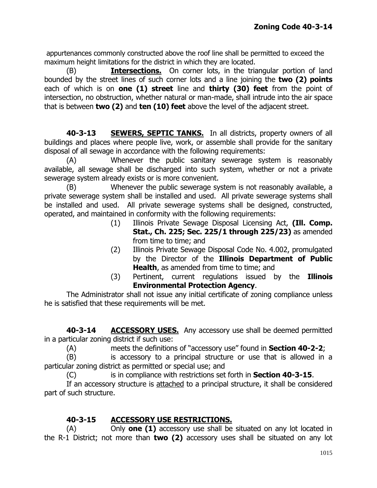appurtenances commonly constructed above the roof line shall be permitted to exceed the maximum height limitations for the district in which they are located.

(B) **Intersections.** On corner lots, in the triangular portion of land bounded by the street lines of such corner lots and a line joining the **two (2) points** each of which is on **one (1) street** line and **thirty (30) feet** from the point of intersection, no obstruction, whether natural or man-made, shall intrude into the air space that is between **two (2)** and **ten (10) feet** above the level of the adjacent street.

**40-3-13 SEWERS, SEPTIC TANKS.** In all districts, property owners of all buildings and places where people live, work, or assemble shall provide for the sanitary disposal of all sewage in accordance with the following requirements:

(A) Whenever the public sanitary sewerage system is reasonably available, all sewage shall be discharged into such system, whether or not a private sewerage system already exists or is more convenient.

(B) Whenever the public sewerage system is not reasonably available, a private sewerage system shall be installed and used. All private sewerage systems shall be installed and used. All private sewerage systems shall be designed, constructed, operated, and maintained in conformity with the following requirements:

- (1) Illinois Private Sewage Disposal Licensing Act, **(Ill. Comp. Stat., Ch. 225; Sec. 225/1 through 225/23)** as amended from time to time; and
- (2) Illinois Private Sewage Disposal Code No. 4.002, promulgated by the Director of the **Illinois Department of Public Health**, as amended from time to time; and
- (3) Pertinent, current regulations issued by the **Illinois Environmental Protection Agency**.

The Administrator shall not issue any initial certificate of zoning compliance unless he is satisfied that these requirements will be met.

**40-3-14 ACCESSORY USES.** Any accessory use shall be deemed permitted in a particular zoning district if such use:

(A) meets the definitions of "accessory use" found in **Section 40-2-2**;

(B) is accessory to a principal structure or use that is allowed in a particular zoning district as permitted or special use; and

(C) is in compliance with restrictions set forth in **Section 40-3-15**.

If an accessory structure is attached to a principal structure, it shall be considered part of such structure.

# **40-3-15 ACCESSORY USE RESTRICTIONS.**

(A) Only **one (1)** accessory use shall be situated on any lot located in the R-1 District; not more than **two (2)** accessory uses shall be situated on any lot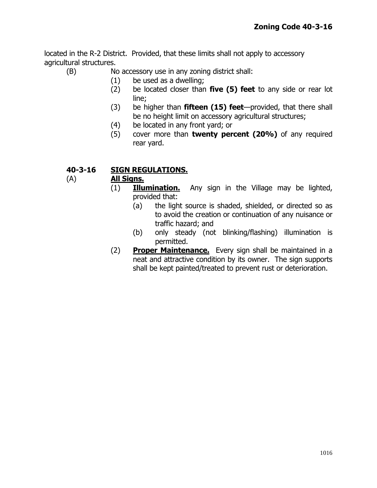located in the R-2 District. Provided, that these limits shall not apply to accessory agricultural structures.

(B) No accessory use in any zoning district shall:

- (1) be used as a dwelling;
- (2) be located closer than **five (5) feet** to any side or rear lot line;
- (3) be higher than **fifteen (15) feet**—provided, that there shall be no height limit on accessory agricultural structures;
- (4) be located in any front yard; or
- (5) cover more than **twenty percent (20%)** of any required rear yard.

## **40-3-16 SIGN REGULATIONS.**

## (A) **All Signs.**

- (1) **Illumination.** Any sign in the Village may be lighted, provided that:
	- (a) the light source is shaded, shielded, or directed so as to avoid the creation or continuation of any nuisance or traffic hazard; and
	- (b) only steady (not blinking/flashing) illumination is permitted.
- (2) **Proper Maintenance.** Every sign shall be maintained in a neat and attractive condition by its owner. The sign supports shall be kept painted/treated to prevent rust or deterioration.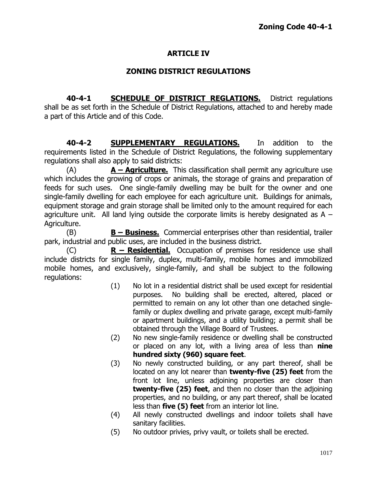## **ARTICLE IV**

#### **ZONING DISTRICT REGULATIONS**

**40-4-1 SCHEDULE OF DISTRICT REGLATIONS.** District regulations shall be as set forth in the Schedule of District Regulations, attached to and hereby made a part of this Article and of this Code.

**40-4-2 SUPPLEMENTARY REGULATIONS.** In addition to the requirements listed in the Schedule of District Regulations, the following supplementary regulations shall also apply to said districts:

(A) **A – Agriculture.** This classification shall permit any agriculture use which includes the growing of crops or animals, the storage of grains and preparation of feeds for such uses. One single-family dwelling may be built for the owner and one single-family dwelling for each employee for each agriculture unit. Buildings for animals, equipment storage and grain storage shall be limited only to the amount required for each agriculture unit. All land lying outside the corporate limits is hereby designated as  $A -$ Agriculture.

(B) **B – Business.** Commercial enterprises other than residential, trailer park, industrial and public uses, are included in the business district.

(C) **R – Residential.** Occupation of premises for residence use shall include districts for single family, duplex, multi-family, mobile homes and immobilized mobile homes, and exclusively, single-family, and shall be subject to the following regulations:

- (1) No lot in a residential district shall be used except for residential purposes. No building shall be erected, altered, placed or permitted to remain on any lot other than one detached singlefamily or duplex dwelling and private garage, except multi-family or apartment buildings, and a utility building; a permit shall be obtained through the Village Board of Trustees.
- (2) No new single-family residence or dwelling shall be constructed or placed on any lot, with a living area of less than **nine hundred sixty (960) square feet**.
- (3) No newly constructed building, or any part thereof, shall be located on any lot nearer than **twenty-five (25) feet** from the front lot line, unless adjoining properties are closer than **twenty-five (25) feet**, and then no closer than the adjoining properties, and no building, or any part thereof, shall be located less than **five (5) feet** from an interior lot line.
- (4) All newly constructed dwellings and indoor toilets shall have sanitary facilities.
- (5) No outdoor privies, privy vault, or toilets shall be erected.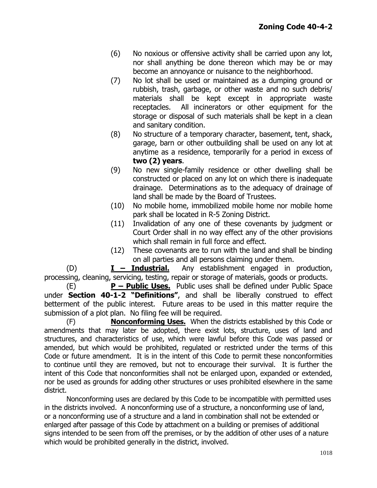- (6) No noxious or offensive activity shall be carried upon any lot, nor shall anything be done thereon which may be or may become an annoyance or nuisance to the neighborhood.
- (7) No lot shall be used or maintained as a dumping ground or rubbish, trash, garbage, or other waste and no such debris/ materials shall be kept except in appropriate waste receptacles. All incinerators or other equipment for the storage or disposal of such materials shall be kept in a clean and sanitary condition.
- (8) No structure of a temporary character, basement, tent, shack, garage, barn or other outbuilding shall be used on any lot at anytime as a residence, temporarily for a period in excess of **two (2) years**.
- (9) No new single-family residence or other dwelling shall be constructed or placed on any lot on which there is inadequate drainage. Determinations as to the adequacy of drainage of land shall be made by the Board of Trustees.
- (10) No mobile home, immobilized mobile home nor mobile home park shall be located in R-5 Zoning District.
- (11) Invalidation of any one of these covenants by judgment or Court Order shall in no way effect any of the other provisions which shall remain in full force and effect.
- (12) These covenants are to run with the land and shall be binding on all parties and all persons claiming under them.

(D) **I – Industrial.** Any establishment engaged in production, processing, cleaning, servicing, testing, repair or storage of materials, goods or products.

(E) **P – Public Uses.** Public uses shall be defined under Public Space under **Section 40-1-2 "Definitions"**, and shall be liberally construed to effect betterment of the public interest. Future areas to be used in this matter require the submission of a plot plan. No filing fee will be required.

(F) **Nonconforming Uses.** When the districts established by this Code or amendments that may later be adopted, there exist lots, structure, uses of land and structures, and characteristics of use, which were lawful before this Code was passed or amended, but which would be prohibited, regulated or restricted under the terms of this Code or future amendment. It is in the intent of this Code to permit these nonconformities to continue until they are removed, but not to encourage their survival. It is further the intent of this Code that nonconformities shall not be enlarged upon, expanded or extended, nor be used as grounds for adding other structures or uses prohibited elsewhere in the same district.

Nonconforming uses are declared by this Code to be incompatible with permitted uses in the districts involved. A nonconforming use of a structure, a nonconforming use of land, or a nonconforming use of a structure and a land in combination shall not be extended or enlarged after passage of this Code by attachment on a building or premises of additional signs intended to be seen from off the premises, or by the addition of other uses of a nature which would be prohibited generally in the district, involved.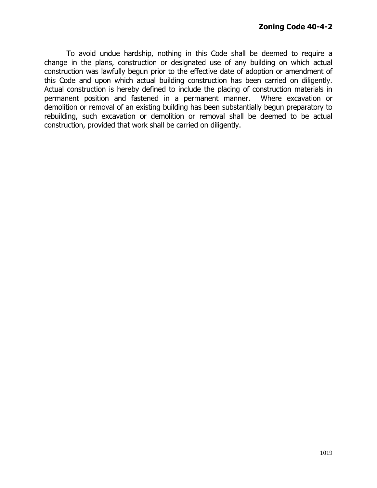To avoid undue hardship, nothing in this Code shall be deemed to require a change in the plans, construction or designated use of any building on which actual construction was lawfully begun prior to the effective date of adoption or amendment of this Code and upon which actual building construction has been carried on diligently. Actual construction is hereby defined to include the placing of construction materials in permanent position and fastened in a permanent manner. Where excavation or demolition or removal of an existing building has been substantially begun preparatory to rebuilding, such excavation or demolition or removal shall be deemed to be actual construction, provided that work shall be carried on diligently.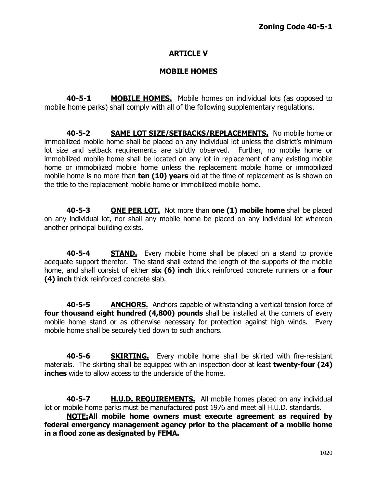# **ARTICLE V**

## **MOBILE HOMES**

**40-5-1 MOBILE HOMES.** Mobile homes on individual lots (as opposed to mobile home parks) shall comply with all of the following supplementary regulations.

**40-5-2 SAME LOT SIZE/SETBACKS/REPLACEMENTS.** No mobile home or immobilized mobile home shall be placed on any individual lot unless the district's minimum lot size and setback requirements are strictly observed. Further, no mobile home or immobilized mobile home shall be located on any lot in replacement of any existing mobile home or immobilized mobile home unless the replacement mobile home or immobilized mobile home is no more than **ten (10) years** old at the time of replacement as is shown on the title to the replacement mobile home or immobilized mobile home.

**40-5-3 ONE PER LOT.** Not more than **one (1) mobile home** shall be placed on any individual lot, nor shall any mobile home be placed on any individual lot whereon another principal building exists.

**40-5-4 STAND.** Every mobile home shall be placed on a stand to provide adequate support therefor. The stand shall extend the length of the supports of the mobile home, and shall consist of either **six (6) inch** thick reinforced concrete runners or a **four (4) inch** thick reinforced concrete slab.

**40-5-5 ANCHORS.** Anchors capable of withstanding a vertical tension force of **four thousand eight hundred (4,800) pounds** shall be installed at the corners of every mobile home stand or as otherwise necessary for protection against high winds. Every mobile home shall be securely tied down to such anchors.

**40-5-6 SKIRTING.** Every mobile home shall be skirted with fire-resistant materials. The skirting shall be equipped with an inspection door at least **twenty-four (24) inches** wide to allow access to the underside of the home.

**40-5-7 H.U.D. REQUIREMENTS.** All mobile homes placed on any individual lot or mobile home parks must be manufactured post 1976 and meet all H.U.D. standards.

**NOTE:All mobile home owners must execute agreement as required by federal emergency management agency prior to the placement of a mobile home in a flood zone as designated by FEMA.**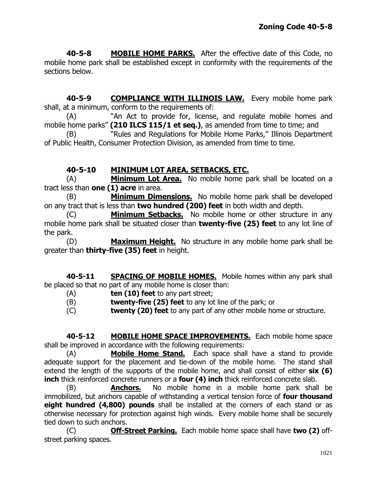**40-5-8 MOBILE HOME PARKS.** After the effective date of this Code, no mobile home park shall be established except in conformity with the requirements of the sections below.

**40-5-9 COMPLIANCE WITH ILLINOIS LAW.** Every mobile home park shall, at a minimum, conform to the requirements of:

(A) • • "An Act to provide for, license, and regulate mobile homes and mobile home parks" (210 ILCS 115/1 et seq.), as amended from time to time; and

(B) The "Rules and Regulations for Mobile Home Parks," Illinois Department of Public Health, Consumer Protection Division, as amended from time to time.

# **40-5-10 MINIMUM LOT AREA, SETBACKS, ETC.**

(A) **Minimum Lot Area.** No mobile home park shall be located on a tract less than **one (1) acre** in area.

(B) **Minimum Dimensions.** No mobile home park shall be developed on any tract that is less than **two hundred (200) feet** in both width and depth.

(C) **Minimum Setbacks.** No mobile home or other structure in any mobile home park shall be situated closer than **twenty-five (25) feet** to any lot line of the park.

(D) **Maximum Height.** No structure in any mobile home park shall be greater than **thirty-five (35) feet** in height.

**40-5-11 SPACING OF MOBILE HOMES.** Mobile homes within any park shall be placed so that no part of any mobile home is closer than:

- (A) **ten (10) feet** to any part street;
- (B) **twenty-five (25) feet** to any lot line of the park; or
- (C) **twenty (20) feet** to any part of any other mobile home or structure.

**40-5-12 MOBILE HOME SPACE IMPROVEMENTS.** Each mobile home space shall be improved in accordance with the following requirements:

(A) **Mobile Home Stand.** Each space shall have a stand to provide adequate support for the placement and tie-down of the mobile home. The stand shall extend the length of the supports of the mobile home, and shall consist of either **six (6) inch** thick reinforced concrete runners or a **four (4) inch** thick reinforced concrete slab.

(B) **Anchors.** No mobile home in a mobile home park shall be immobilized, but anchors capable of withstanding a vertical tension force of **four thousand eight hundred (4,800) pounds** shall be installed at the corners of each stand or as otherwise necessary for protection against high winds. Every mobile home shall be securely tied down to such anchors.

(C) **Off-Street Parking.** Each mobile home space shall have **two (2)** offstreet parking spaces.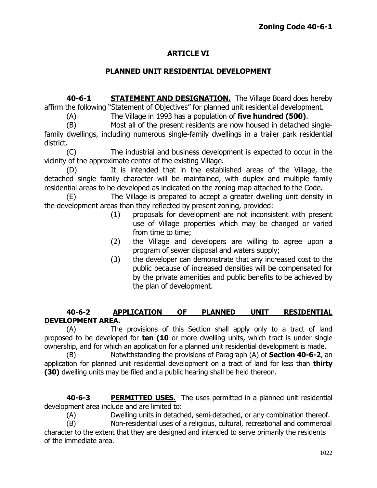# **ARTICLE VI**

# **PLANNED UNIT RESIDENTIAL DEVELOPMENT**

**40-6-1 STATEMENT AND DESIGNATION.** The Village Board does hereby affirm the following "Statement of Objectives" for planned unit residential development.

(A) The Village in 1993 has a population of **five hundred (500)**.

(B) Most all of the present residents are now housed in detached singlefamily dwellings, including numerous single-family dwellings in a trailer park residential district.

(C) The industrial and business development is expected to occur in the vicinity of the approximate center of the existing Village.

(D) It is intended that in the established areas of the Village, the detached single family character will be maintained, with duplex and multiple family residential areas to be developed as indicated on the zoning map attached to the Code.

(E) The Village is prepared to accept a greater dwelling unit density in the development areas than they reflected by present zoning, provided:

- (1) proposals for development are not inconsistent with present use of Village properties which may be changed or varied from time to time;
- (2) the Village and developers are willing to agree upon a program of sewer disposal and waters supply;
- (3) the developer can demonstrate that any increased cost to the public because of increased densities will be compensated for by the private amenities and public benefits to be achieved by the plan of development.

# **40-6-2 APPLICATION OF PLANNED UNIT RESIDENTIAL DEVELOPMENT AREA.**

(A) The provisions of this Section shall apply only to a tract of land proposed to be developed for **ten (10** or more dwelling units, which tract is under single ownership, and for which an application for a planned unit residential development is made.

(B) Notwithstanding the provisions of Paragraph (A) of **Section 40-6-2**, an application for planned unit residential development on a tract of land for less than **thirty (30)** dwelling units may be filed and a public hearing shall be held thereon.

**40-6-3 PERMITTED USES.** The uses permitted in a planned unit residential development area include and are limited to:

(A) Dwelling units in detached, semi-detached, or any combination thereof.

(B) Non-residential uses of a religious, cultural, recreational and commercial character to the extent that they are designed and intended to serve primarily the residents of the immediate area.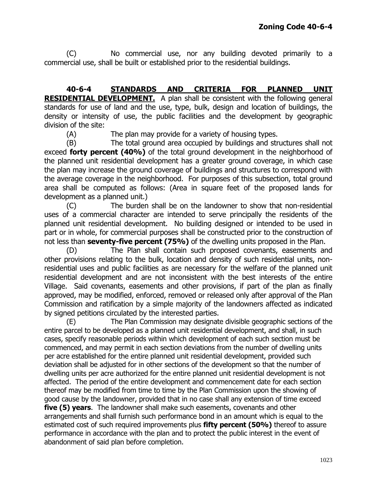(C) No commercial use, nor any building devoted primarily to a commercial use, shall be built or established prior to the residential buildings.

**40-6-4 STANDARDS AND CRITERIA FOR PLANNED UNIT RESIDENTIAL DEVELOPMENT.** A plan shall be consistent with the following general standards for use of land and the use, type, bulk, design and location of buildings, the density or intensity of use, the public facilities and the development by geographic division of the site:

(A) The plan may provide for a variety of housing types.

(B) The total ground area occupied by buildings and structures shall not exceed **forty percent (40%)** of the total ground development in the neighborhood of the planned unit residential development has a greater ground coverage, in which case the plan may increase the ground coverage of buildings and structures to correspond with the average coverage in the neighborhood. For purposes of this subsection, total ground area shall be computed as follows: (Area in square feet of the proposed lands for development as a planned unit.)

(C) The burden shall be on the landowner to show that non-residential uses of a commercial character are intended to serve principally the residents of the planned unit residential development. No building designed or intended to be used in part or in whole, for commercial purposes shall be constructed prior to the construction of not less than **seventy-five percent (75%)** of the dwelling units proposed in the Plan.

(D) The Plan shall contain such proposed covenants, easements and other provisions relating to the bulk, location and density of such residential units, nonresidential uses and public facilities as are necessary for the welfare of the planned unit residential development and are not inconsistent with the best interests of the entire Village. Said covenants, easements and other provisions, if part of the plan as finally approved, may be modified, enforced, removed or released only after approval of the Plan Commission and ratification by a simple majority of the landowners affected as indicated by signed petitions circulated by the interested parties.

(E) The Plan Commission may designate divisible geographic sections of the entire parcel to be developed as a planned unit residential development, and shall, in such cases, specify reasonable periods within which development of each such section must be commenced, and may permit in each section deviations from the number of dwelling units per acre established for the entire planned unit residential development, provided such deviation shall be adjusted for in other sections of the development so that the number of dwelling units per acre authorized for the entire planned unit residential development is not affected. The period of the entire development and commencement date for each section thereof may be modified from time to time by the Plan Commission upon the showing of good cause by the landowner, provided that in no case shall any extension of time exceed **five (5) years**. The landowner shall make such easements, covenants and other arrangements and shall furnish such performance bond in an amount which is equal to the estimated cost of such required improvements plus **fifty percent (50%)** thereof to assure performance in accordance with the plan and to protect the public interest in the event of abandonment of said plan before completion.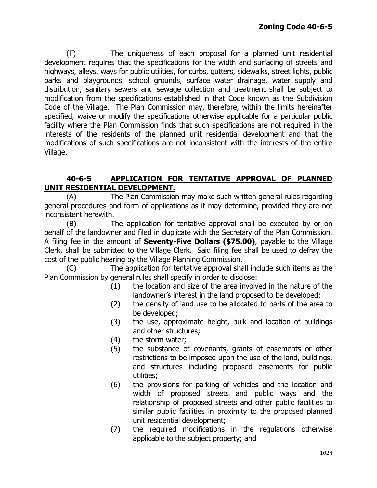(F) The uniqueness of each proposal for a planned unit residential development requires that the specifications for the width and surfacing of streets and highways, alleys, ways for public utilities, for curbs, gutters, sidewalks, street lights, public parks and playgrounds, school grounds, surface water drainage, water supply and distribution, sanitary sewers and sewage collection and treatment shall be subject to modification from the specifications established in that Code known as the Subdivision Code of the Village. The Plan Commission may, therefore, within the limits hereinafter specified, waive or modify the specifications otherwise applicable for a particular public facility where the Plan Commission finds that such specifications are not required in the interests of the residents of the planned unit residential development and that the modifications of such specifications are not inconsistent with the interests of the entire Village.

# **40-6-5 APPLICATION FOR TENTATIVE APPROVAL OF PLANNED UNIT RESIDENTIAL DEVELOPMENT.**

(A) The Plan Commission may make such written general rules regarding general procedures and form of applications as it may determine, provided they are not inconsistent herewith.

(B) The application for tentative approval shall be executed by or on behalf of the landowner and filed in duplicate with the Secretary of the Plan Commission. A filing fee in the amount of **Seventy-Five Dollars (\$75.00)**, payable to the Village Clerk, shall be submitted to the Village Clerk. Said filing fee shall be used to defray the cost of the public hearing by the Village Planning Commission.

(C) The application for tentative approval shall include such items as the Plan Commission by general rules shall specify in order to disclose:

- (1) the location and size of the area involved in the nature of the landowner's interest in the land proposed to be developed;
- (2) the density of land use to be allocated to parts of the area to be developed;
- (3) the use, approximate height, bulk and location of buildings and other structures;
- (4) the storm water;
- (5) the substance of covenants, grants of easements or other restrictions to be imposed upon the use of the land, buildings, and structures including proposed easements for public utilities;
- (6) the provisions for parking of vehicles and the location and width of proposed streets and public ways and the relationship of proposed streets and other public facilities to similar public facilities in proximity to the proposed planned unit residential development;
- (7) the required modifications in the regulations otherwise applicable to the subject property; and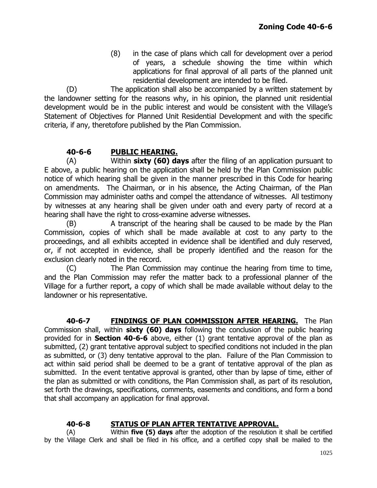(8) in the case of plans which call for development over a period of years, a schedule showing the time within which applications for final approval of all parts of the planned unit residential development are intended to be filed.

(D) The application shall also be accompanied by a written statement by the landowner setting for the reasons why, in his opinion, the planned unit residential development would be in the public interest and would be consistent with the Village's Statement of Objectives for Planned Unit Residential Development and with the specific criteria, if any, theretofore published by the Plan Commission.

# **40-6-6 PUBLIC HEARING.**

(A) Within **sixty (60) days** after the filing of an application pursuant to E above, a public hearing on the application shall be held by the Plan Commission public notice of which hearing shall be given in the manner prescribed in this Code for hearing on amendments. The Chairman, or in his absence, the Acting Chairman, of the Plan Commission may administer oaths and compel the attendance of witnesses. All testimony by witnesses at any hearing shall be given under oath and every party of record at a hearing shall have the right to cross-examine adverse witnesses.

(B) A transcript of the hearing shall be caused to be made by the Plan Commission, copies of which shall be made available at cost to any party to the proceedings, and all exhibits accepted in evidence shall be identified and duly reserved, or, if not accepted in evidence, shall be properly identified and the reason for the exclusion clearly noted in the record.

(C) The Plan Commission may continue the hearing from time to time, and the Plan Commission may refer the matter back to a professional planner of the Village for a further report, a copy of which shall be made available without delay to the landowner or his representative.

**40-6-7 FINDINGS OF PLAN COMMISSION AFTER HEARING.** The Plan Commission shall, within **sixty (60) days** following the conclusion of the public hearing provided for in **Section 40-6-6** above, either (1) grant tentative approval of the plan as submitted, (2) grant tentative approval subject to specified conditions not included in the plan as submitted, or (3) deny tentative approval to the plan. Failure of the Plan Commission to act within said period shall be deemed to be a grant of tentative approval of the plan as submitted. In the event tentative approval is granted, other than by lapse of time, either of the plan as submitted or with conditions, the Plan Commission shall, as part of its resolution, set forth the drawings, specifications, comments, easements and conditions, and form a bond that shall accompany an application for final approval.

# **40-6-8 STATUS OF PLAN AFTER TENTATIVE APPROVAL.**

(A) Within **five (5) days** after the adoption of the resolution it shall be certified by the Village Clerk and shall be filed in his office, and a certified copy shall be mailed to the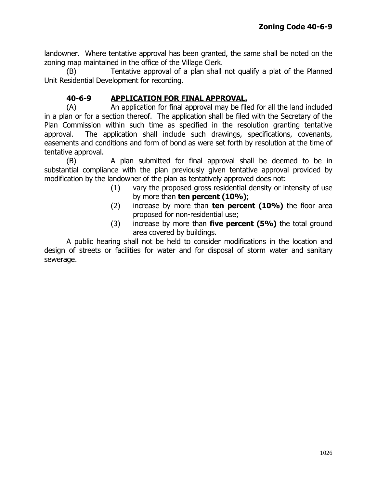landowner. Where tentative approval has been granted, the same shall be noted on the zoning map maintained in the office of the Village Clerk.

(B) Tentative approval of a plan shall not qualify a plat of the Planned Unit Residential Development for recording.

# **40-6-9 APPLICATION FOR FINAL APPROVAL.**

(A) An application for final approval may be filed for all the land included in a plan or for a section thereof. The application shall be filed with the Secretary of the Plan Commission within such time as specified in the resolution granting tentative approval. The application shall include such drawings, specifications, covenants, easements and conditions and form of bond as were set forth by resolution at the time of tentative approval.

(B) A plan submitted for final approval shall be deemed to be in substantial compliance with the plan previously given tentative approval provided by modification by the landowner of the plan as tentatively approved does not:

- (1) vary the proposed gross residential density or intensity of use by more than **ten percent (10%)**;
- (2) increase by more than **ten percent (10%)** the floor area proposed for non-residential use;
- (3) increase by more than **five percent (5%)** the total ground area covered by buildings.

A public hearing shall not be held to consider modifications in the location and design of streets or facilities for water and for disposal of storm water and sanitary sewerage.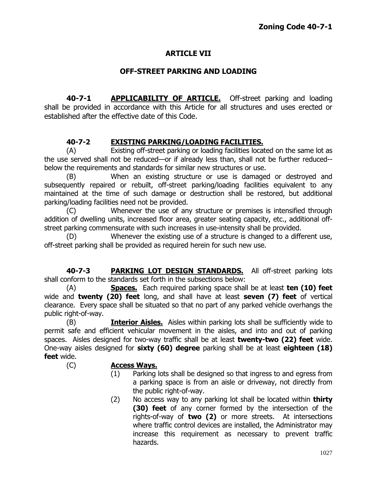# **ARTICLE VII**

# **OFF-STREET PARKING AND LOADING**

**40-7-1 APPLICABILITY OF ARTICLE.** Off-street parking and loading shall be provided in accordance with this Article for all structures and uses erected or established after the effective date of this Code.

# **40-7-2 EXISTING PARKING/LOADING FACILITIES.**

(A) Existing off-street parking or loading facilities located on the same lot as the use served shall not be reduced—or if already less than, shall not be further reduced- below the requirements and standards for similar new structures or use.

(B) When an existing structure or use is damaged or destroyed and subsequently repaired or rebuilt, off-street parking/loading facilities equivalent to any maintained at the time of such damage or destruction shall be restored, but additional parking/loading facilities need not be provided.

(C) Whenever the use of any structure or premises is intensified through addition of dwelling units, increased floor area, greater seating capacity, etc., additional offstreet parking commensurate with such increases in use-intensity shall be provided.

(D) Whenever the existing use of a structure is changed to a different use, off-street parking shall be provided as required herein for such new use.

**40-7-3 PARKING LOT DESIGN STANDARDS.** All off-street parking lots shall conform to the standards set forth in the subsections below:

(A) **Spaces.** Each required parking space shall be at least **ten (10) feet** wide and **twenty (20) feet** long, and shall have at least **seven (7) feet** of vertical clearance. Every space shall be situated so that no part of any parked vehicle overhangs the public right-of-way.

(B) **Interior Aisles.** Aisles within parking lots shall be sufficiently wide to permit safe and efficient vehicular movement in the aisles, and into and out of parking spaces. Aisles designed for two-way traffic shall be at least **twenty-two (22) feet** wide. One-way aisles designed for **sixty (60) degree** parking shall be at least **eighteen (18) feet** wide.

- (C) **Access Ways.**
	- (1) Parking lots shall be designed so that ingress to and egress from a parking space is from an aisle or driveway, not directly from the public right-of-way.
	- (2) No access way to any parking lot shall be located within **thirty (30) feet** of any corner formed by the intersection of the rights-of-way of **two (2)** or more streets. At intersections where traffic control devices are installed, the Administrator may increase this requirement as necessary to prevent traffic hazards.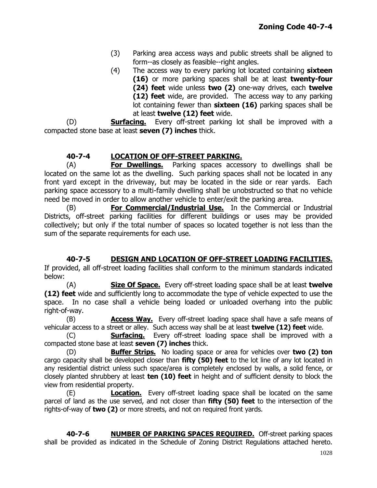- (3) Parking area access ways and public streets shall be aligned to form--as closely as feasible--right angles.
- (4) The access way to every parking lot located containing **sixteen (16)** or more parking spaces shall be at least **twenty-four (24) feet** wide unless **two (2)** one-way drives, each **twelve (12) feet** wide, are provided. The access way to any parking lot containing fewer than **sixteen (16)** parking spaces shall be at least **twelve (12) feet** wide.

(D) **Surfacing.** Every off-street parking lot shall be improved with a compacted stone base at least **seven (7) inches** thick.

## **40-7-4 LOCATION OF OFF-STREET PARKING.**

(A) **For Dwellings.** Parking spaces accessory to dwellings shall be located on the same lot as the dwelling. Such parking spaces shall not be located in any front yard except in the driveway, but may be located in the side or rear yards. Each parking space accessory to a multi-family dwelling shall be unobstructed so that no vehicle need be moved in order to allow another vehicle to enter/exit the parking area.

(B) **For Commercial/Industrial Use.** In the Commercial or Industrial Districts, off-street parking facilities for different buildings or uses may be provided collectively; but only if the total number of spaces so located together is not less than the sum of the separate requirements for each use.

**40-7-5 DESIGN AND LOCATION OF OFF-STREET LOADING FACILITIES.** If provided, all off-street loading facilities shall conform to the minimum standards indicated below:

(A) **Size Of Space.** Every off-street loading space shall be at least **twelve (12) feet** wide and sufficiently long to accommodate the type of vehicle expected to use the space. In no case shall a vehicle being loaded or unloaded overhang into the public right-of-way.

(B) **Access Way.** Every off-street loading space shall have a safe means of vehicular access to a street or alley. Such access way shall be at least **twelve (12) feet** wide.

(C) **Surfacing.** Every off-street loading space shall be improved with a compacted stone base at least **seven (7) inches** thick.

(D) **Buffer Strips.** No loading space or area for vehicles over **two (2) ton** cargo capacity shall be developed closer than **fifty (50) feet** to the lot line of any lot located in any residential district unless such space/area is completely enclosed by walls, a solid fence, or closely planted shrubbery at least **ten (10) feet** in height and of sufficient density to block the view from residential property.

(E) **Location.** Every off-street loading space shall be located on the same parcel of land as the use served, and not closer than **fifty (50) feet** to the intersection of the rights-of-way of **two (2)** or more streets, and not on required front yards.

**40-7-6 NUMBER OF PARKING SPACES REQUIRED.** Off-street parking spaces shall be provided as indicated in the Schedule of Zoning District Regulations attached hereto.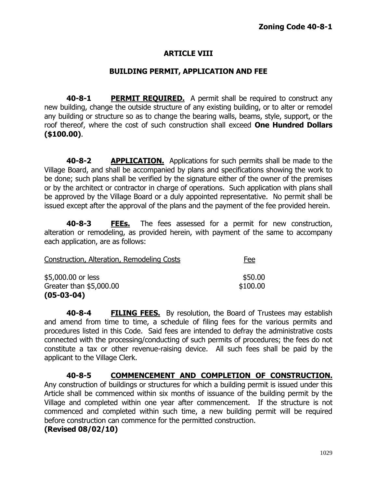# **ARTICLE VIII**

#### **BUILDING PERMIT, APPLICATION AND FEE**

**40-8-1 PERMIT REQUIRED.** A permit shall be required to construct any new building, change the outside structure of any existing building, or to alter or remodel any building or structure so as to change the bearing walls, beams, style, support, or the roof thereof, where the cost of such construction shall exceed **One Hundred Dollars (\$100.00)**.

**40-8-2 APPLICATION.** Applications for such permits shall be made to the Village Board, and shall be accompanied by plans and specifications showing the work to be done; such plans shall be verified by the signature either of the owner of the premises or by the architect or contractor in charge of operations. Such application with plans shall be approved by the Village Board or a duly appointed representative. No permit shall be issued except after the approval of the plans and the payment of the fee provided herein.

**40-8-3 FEEs.** The fees assessed for a permit for new construction, alteration or remodeling, as provided herein, with payment of the same to accompany each application, are as follows:

| <b>Construction, Alteration, Remodeling Costs</b> | Fee                 |
|---------------------------------------------------|---------------------|
| \$5,000.00 or less<br>Greater than \$5,000.00     | \$50.00<br>\$100.00 |
| $(05-03-04)$                                      |                     |

**40-8-4 FILING FEES.** By resolution, the Board of Trustees may establish and amend from time to time, a schedule of filing fees for the various permits and procedures listed in this Code. Said fees are intended to defray the administrative costs connected with the processing/conducting of such permits of procedures; the fees do not constitute a tax or other revenue-raising device. All such fees shall be paid by the applicant to the Village Clerk.

**40-8-5 COMMENCEMENT AND COMPLETION OF CONSTRUCTION.** Any construction of buildings or structures for which a building permit is issued under this Article shall be commenced within six months of issuance of the building permit by the Village and completed within one year after commencement. If the structure is not commenced and completed within such time, a new building permit will be required before construction can commence for the permitted construction.

#### **(Revised 08/02/10)**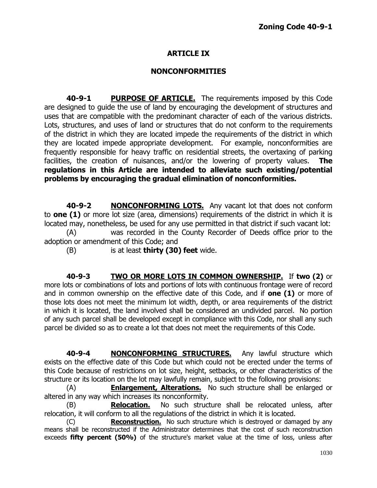# **ARTICLE IX**

#### **NONCONFORMITIES**

**40-9-1 PURPOSE OF ARTICLE.** The requirements imposed by this Code are designed to guide the use of land by encouraging the development of structures and uses that are compatible with the predominant character of each of the various districts. Lots, structures, and uses of land or structures that do not conform to the requirements of the district in which they are located impede the requirements of the district in which they are located impede appropriate development. For example, nonconformities are frequently responsible for heavy traffic on residential streets, the overtaxing of parking facilities, the creation of nuisances, and/or the lowering of property values. **The regulations in this Article are intended to alleviate such existing/potential problems by encouraging the gradual elimination of nonconformities.**

**40-9-2 NONCONFORMING LOTS.** Any vacant lot that does not conform to **one (1)** or more lot size (area, dimensions) requirements of the district in which it is located may, nonetheless, be used for any use permitted in that district if such vacant lot: (A) was recorded in the County Recorder of Deeds office prior to the adoption or amendment of this Code; and

(B) is at least **thirty (30) feet** wide.

**40-9-3 TWO OR MORE LOTS IN COMMON OWNERSHIP.** If **two (2)** or more lots or combinations of lots and portions of lots with continuous frontage were of record and in common ownership on the effective date of this Code, and if **one (1)** or more of those lots does not meet the minimum lot width, depth, or area requirements of the district in which it is located, the land involved shall be considered an undivided parcel. No portion of any such parcel shall be developed except in compliance with this Code, nor shall any such parcel be divided so as to create a lot that does not meet the requirements of this Code.

**40-9-4 NONCONFORMING STRUCTURES.** Any lawful structure which exists on the effective date of this Code but which could not be erected under the terms of this Code because of restrictions on lot size, height, setbacks, or other characteristics of the structure or its location on the lot may lawfully remain, subject to the following provisions:

(A) **Enlargement, Alterations.** No such structure shall be enlarged or altered in any way which increases its nonconformity.

(B) **Relocation.** No such structure shall be relocated unless, after relocation, it will conform to all the regulations of the district in which it is located.

(C) **Reconstruction.** No such structure which is destroyed or damaged by any means shall be reconstructed if the Administrator determines that the cost of such reconstruction exceeds **fifty percent (50%)** of the structure's market value at the time of loss, unless after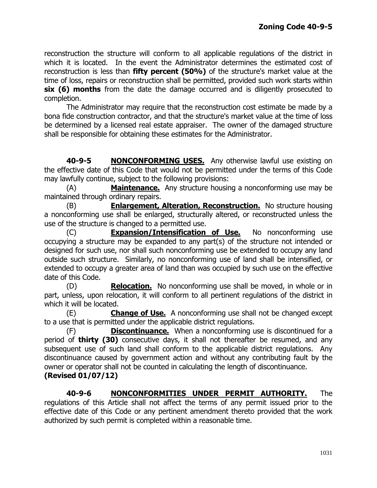reconstruction the structure will conform to all applicable regulations of the district in which it is located. In the event the Administrator determines the estimated cost of reconstruction is less than **fifty percent (50%)** of the structure's market value at the time of loss, repairs or reconstruction shall be permitted, provided such work starts within **six (6) months** from the date the damage occurred and is diligently prosecuted to completion.

The Administrator may require that the reconstruction cost estimate be made by a bona fide construction contractor, and that the structure's market value at the time of loss be determined by a licensed real estate appraiser. The owner of the damaged structure shall be responsible for obtaining these estimates for the Administrator.

**40-9-5 NONCONFORMING USES.** Any otherwise lawful use existing on the effective date of this Code that would not be permitted under the terms of this Code may lawfully continue, subject to the following provisions:

(A) **Maintenance.** Any structure housing a nonconforming use may be maintained through ordinary repairs.

(B) **Enlargement, Alteration, Reconstruction.** No structure housing a nonconforming use shall be enlarged, structurally altered, or reconstructed unless the use of the structure is changed to a permitted use.

(C) **Expansion/Intensification of Use.** No nonconforming use occupying a structure may be expanded to any part(s) of the structure not intended or designed for such use, nor shall such nonconforming use be extended to occupy any land outside such structure. Similarly, no nonconforming use of land shall be intensified, or extended to occupy a greater area of land than was occupied by such use on the effective date of this Code.

(D) **Relocation.** No nonconforming use shall be moved, in whole or in part, unless, upon relocation, it will conform to all pertinent regulations of the district in which it will be located.

(E) **Change of Use.** A nonconforming use shall not be changed except to a use that is permitted under the applicable district regulations.

(F) **Discontinuance.** When a nonconforming use is discontinued for a period of **thirty (30)** consecutive days, it shall not thereafter be resumed, and any subsequent use of such land shall conform to the applicable district regulations. Any discontinuance caused by government action and without any contributing fault by the owner or operator shall not be counted in calculating the length of discontinuance.

## **(Revised 01/07/12)**

**40-9-6 NONCONFORMITIES UNDER PERMIT AUTHORITY.** The regulations of this Article shall not affect the terms of any permit issued prior to the effective date of this Code or any pertinent amendment thereto provided that the work authorized by such permit is completed within a reasonable time.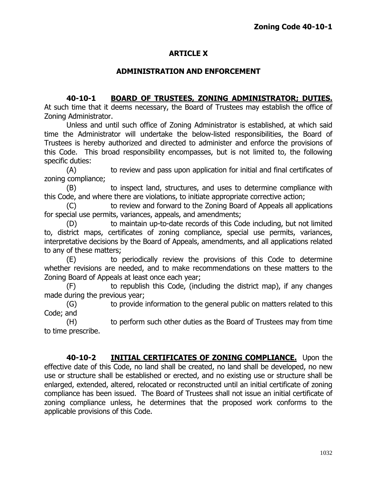# **ARTICLE X**

## **ADMINISTRATION AND ENFORCEMENT**

## **40-10-1 BOARD OF TRUSTEES, ZONING ADMINISTRATOR; DUTIES.**

At such time that it deems necessary, the Board of Trustees may establish the office of Zoning Administrator.

Unless and until such office of Zoning Administrator is established, at which said time the Administrator will undertake the below-listed responsibilities, the Board of Trustees is hereby authorized and directed to administer and enforce the provisions of this Code. This broad responsibility encompasses, but is not limited to, the following specific duties:

(A) to review and pass upon application for initial and final certificates of zoning compliance;

(B) to inspect land, structures, and uses to determine compliance with this Code, and where there are violations, to initiate appropriate corrective action;

(C) to review and forward to the Zoning Board of Appeals all applications for special use permits, variances, appeals, and amendments;

(D) to maintain up-to-date records of this Code including, but not limited to, district maps, certificates of zoning compliance, special use permits, variances, interpretative decisions by the Board of Appeals, amendments, and all applications related to any of these matters;

(E) to periodically review the provisions of this Code to determine whether revisions are needed, and to make recommendations on these matters to the Zoning Board of Appeals at least once each year;

(F) to republish this Code, (including the district map), if any changes made during the previous year;

(G) to provide information to the general public on matters related to this Code; and

(H) to perform such other duties as the Board of Trustees may from time to time prescribe.

**40-10-2 INITIAL CERTIFICATES OF ZONING COMPLIANCE.** Upon the effective date of this Code, no land shall be created, no land shall be developed, no new use or structure shall be established or erected, and no existing use or structure shall be enlarged, extended, altered, relocated or reconstructed until an initial certificate of zoning compliance has been issued. The Board of Trustees shall not issue an initial certificate of zoning compliance unless, he determines that the proposed work conforms to the applicable provisions of this Code.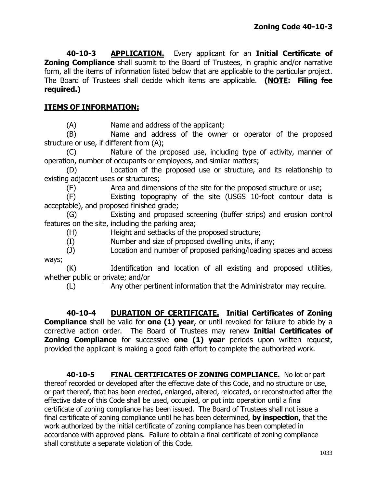**40-10-3 APPLICATION.** Every applicant for an **Initial Certificate of Zoning Compliance** shall submit to the Board of Trustees, in graphic and/or narrative form, all the items of information listed below that are applicable to the particular project. The Board of Trustees shall decide which items are applicable. **(NOTE: Filing fee required.)**

# **ITEMS OF INFORMATION:**

(A) Name and address of the applicant;

(B) Name and address of the owner or operator of the proposed structure or use, if different from (A);

(C) Nature of the proposed use, including type of activity, manner of operation, number of occupants or employees, and similar matters;

(D) Location of the proposed use or structure, and its relationship to existing adjacent uses or structures;

(E) Area and dimensions of the site for the proposed structure or use;

(F) Existing topography of the site (USGS 10-foot contour data is acceptable), and proposed finished grade;

(G) Existing and proposed screening (buffer strips) and erosion control features on the site, including the parking area;

(H) Height and setbacks of the proposed structure;

(I) Number and size of proposed dwelling units, if any;

(J) Location and number of proposed parking/loading spaces and access ways;

(K) Identification and location of all existing and proposed utilities, whether public or private; and/or

(L) Any other pertinent information that the Administrator may require.

**40-10-4 DURATION OF CERTIFICATE. Initial Certificates of Zoning Compliance** shall be valid for **one (1) year**, or until revoked for failure to abide by a corrective action order. The Board of Trustees may renew **Initial Certificates of Zoning Compliance** for successive **one (1) year** periods upon written request, provided the applicant is making a good faith effort to complete the authorized work.

**40-10-5 FINAL CERTIFICATES OF ZONING COMPLIANCE.** No lot or part thereof recorded or developed after the effective date of this Code, and no structure or use, or part thereof, that has been erected, enlarged, altered, relocated, or reconstructed after the effective date of this Code shall be used, occupied, or put into operation until a final certificate of zoning compliance has been issued. The Board of Trustees shall not issue a final certificate of zoning compliance until he has been determined, **by inspection**, that the work authorized by the initial certificate of zoning compliance has been completed in accordance with approved plans. Failure to obtain a final certificate of zoning compliance shall constitute a separate violation of this Code.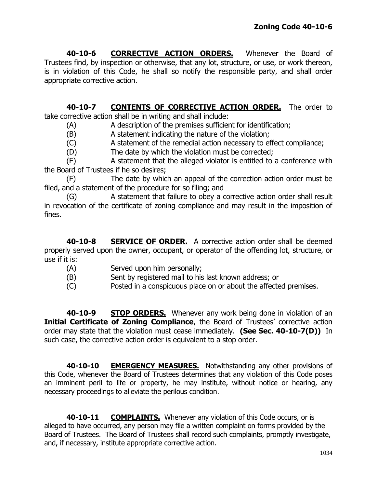**40-10-6 CORRECTIVE ACTION ORDERS.** Whenever the Board of Trustees find, by inspection or otherwise, that any lot, structure, or use, or work thereon, is in violation of this Code, he shall so notify the responsible party, and shall order appropriate corrective action.

**40-10-7 CONTENTS OF CORRECTIVE ACTION ORDER.** The order to take corrective action shall be in writing and shall include:

(A) A description of the premises sufficient for identification;

(B) A statement indicating the nature of the violation;

(C) A statement of the remedial action necessary to effect compliance;

(D) The date by which the violation must be corrected;

(E) A statement that the alleged violator is entitled to a conference with the Board of Trustees if he so desires;

(F) The date by which an appeal of the correction action order must be filed, and a statement of the procedure for so filing; and

(G) A statement that failure to obey a corrective action order shall result in revocation of the certificate of zoning compliance and may result in the imposition of fines.

**40-10-8 SERVICE OF ORDER.** A corrective action order shall be deemed properly served upon the owner, occupant, or operator of the offending lot, structure, or use if it is:

- (A) Served upon him personally;
- (B) Sent by registered mail to his last known address; or
- (C) Posted in a conspicuous place on or about the affected premises.

**40-10-9 STOP ORDERS.** Whenever any work being done in violation of an **Initial Certificate of Zoning Compliance**, the Board of Trustees' corrective action order may state that the violation must cease immediately. **(See Sec. 40-10-7(D))** In such case, the corrective action order is equivalent to a stop order.

**40-10-10 EMERGENCY MEASURES.** Notwithstanding any other provisions of this Code, whenever the Board of Trustees determines that any violation of this Code poses an imminent peril to life or property, he may institute, without notice or hearing, any necessary proceedings to alleviate the perilous condition.

**40-10-11 COMPLAINTS.** Whenever any violation of this Code occurs, or is alleged to have occurred, any person may file a written complaint on forms provided by the Board of Trustees. The Board of Trustees shall record such complaints, promptly investigate, and, if necessary, institute appropriate corrective action.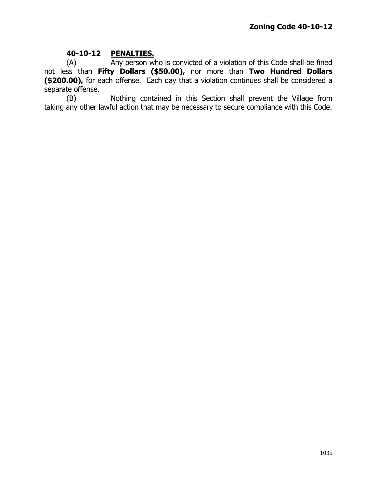#### **40-10-12 PENALTIES.**

(A) Any person who is convicted of a violation of this Code shall be fined not less than **Fifty Dollars (\$50.00),** nor more than **Two Hundred Dollars (\$200.00),** for each offense. Each day that a violation continues shall be considered a separate offense.

(B) Nothing contained in this Section shall prevent the Village from taking any other lawful action that may be necessary to secure compliance with this Code.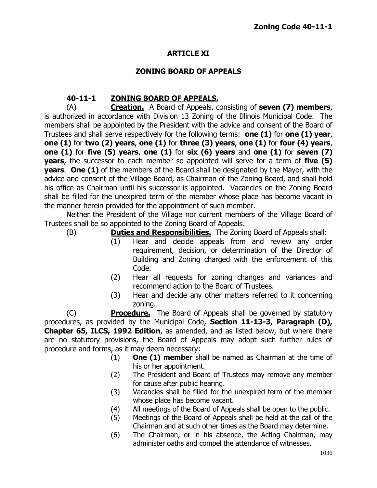# **ARTICLE XI**

#### **ZONING BOARD OF APPEALS**

# **40-11-1 ZONING BOARD OF APPEALS.**

(A) **Creation.** A Board of Appeals, consisting of **seven (7) members**, is authorized in accordance with Division 13 Zoning of the Illinois Municipal Code. The members shall be appointed by the President with the advice and consent of the Board of Trustees and shall serve respectively for the following terms: **one (1)** for **one (1) year**, **one (1)** for **two (2) years**, **one (1)** for **three (3) years**, **one (1)** for **four (4) years**, **one (1)** for **five (5) years**, **one (1)** for **six (6) years** and **one (1)** for **seven (7) years**, the successor to each member so appointed will serve for a term of **five (5) years**. **One (1)** of the members of the Board shall be designated by the Mayor, with the advice and consent of the Village Board, as Chairman of the Zoning Board, and shall hold his office as Chairman until his successor is appointed. Vacancies on the Zoning Board shall be filled for the unexpired term of the member whose place has become vacant in the manner herein provided for the appointment of such member.

Neither the President of the Village nor current members of the Village Board of Trustees shall be so appointed to the Zoning Board of Appeals.

- - (B) **Duties and Responsibilities.** The Zoning Board of Appeals shall:
		- (1) Hear and decide appeals from and review any order requirement, decision, or determination of the Director of Building and Zoning charged with the enforcement of this Code.
		- (2) Hear all requests for zoning changes and variances and recommend action to the Board of Trustees.
		- (3) Hear and decide any other matters referred to it concerning zoning.

(C) **Procedure.** The Board of Appeals shall be governed by statutory procedures, as provided by the Municipal Code, **Section 11-13-3, Paragraph (D), Chapter 65, ILCS, 1992 Edition**, as amended, and as listed below, but where there are no statutory provisions, the Board of Appeals may adopt such further rules of procedure and forms, as it may deem necessary:

- (1) **One (1) member** shall be named as Chairman at the time of his or her appointment.
- (2) The President and Board of Trustees may remove any member for cause after public hearing.
- (3) Vacancies shall be filled for the unexpired term of the member whose place has become vacant.
- (4) All meetings of the Board of Appeals shall be open to the public.
- (5) Meetings of the Board of Appeals shall be held at the call of the Chairman and at such other times as the Board may determine.
- (6) The Chairman, or in his absence, the Acting Chairman, may administer oaths and compel the attendance of witnesses.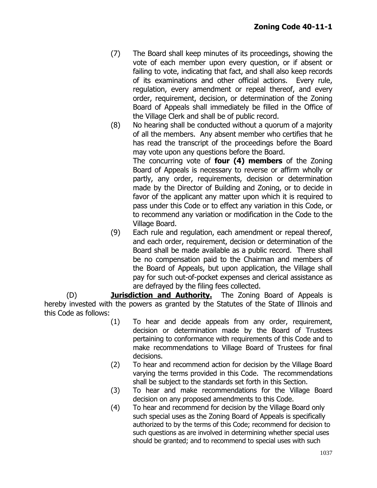- (7) The Board shall keep minutes of its proceedings, showing the vote of each member upon every question, or if absent or failing to vote, indicating that fact, and shall also keep records of its examinations and other official actions. Every rule, regulation, every amendment or repeal thereof, and every order, requirement, decision, or determination of the Zoning Board of Appeals shall immediately be filled in the Office of the Village Clerk and shall be of public record.
- (8) No hearing shall be conducted without a quorum of a majority of all the members. Any absent member who certifies that he has read the transcript of the proceedings before the Board may vote upon any questions before the Board.

The concurring vote of **four (4) members** of the Zoning Board of Appeals is necessary to reverse or affirm wholly or partly, any order, requirements, decision or determination made by the Director of Building and Zoning, or to decide in favor of the applicant any matter upon which it is required to pass under this Code or to effect any variation in this Code, or to recommend any variation or modification in the Code to the Village Board.

(9) Each rule and regulation, each amendment or repeal thereof, and each order, requirement, decision or determination of the Board shall be made available as a public record. There shall be no compensation paid to the Chairman and members of the Board of Appeals, but upon application, the Village shall pay for such out-of-pocket expenses and clerical assistance as are defrayed by the filing fees collected.

(D) **Jurisdiction and Authority.** The Zoning Board of Appeals is hereby invested with the powers as granted by the Statutes of the State of Illinois and this Code as follows:

- (1) To hear and decide appeals from any order, requirement, decision or determination made by the Board of Trustees pertaining to conformance with requirements of this Code and to make recommendations to Village Board of Trustees for final decisions.
- (2) To hear and recommend action for decision by the Village Board varying the terms provided in this Code. The recommendations shall be subject to the standards set forth in this Section.
- (3) To hear and make recommendations for the Village Board decision on any proposed amendments to this Code.
- (4) To hear and recommend for decision by the Village Board only such special uses as the Zoning Board of Appeals is specifically authorized to by the terms of this Code; recommend for decision to such questions as are involved in determining whether special uses should be granted; and to recommend to special uses with such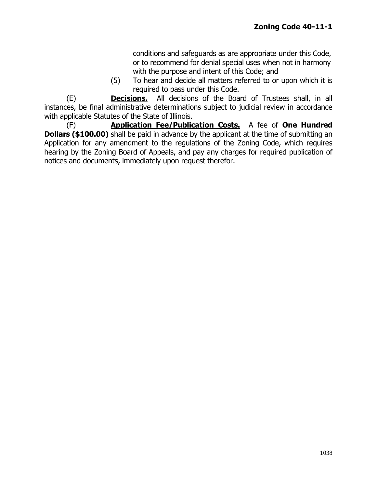conditions and safeguards as are appropriate under this Code, or to recommend for denial special uses when not in harmony with the purpose and intent of this Code; and

(5) To hear and decide all matters referred to or upon which it is required to pass under this Code.

(E) **Decisions.** All decisions of the Board of Trustees shall, in all instances, be final administrative determinations subject to judicial review in accordance with applicable Statutes of the State of Illinois.

(F) **Application Fee/Publication Costs.** A fee of **One Hundred Dollars (\$100.00)** shall be paid in advance by the applicant at the time of submitting an Application for any amendment to the regulations of the Zoning Code, which requires hearing by the Zoning Board of Appeals, and pay any charges for required publication of notices and documents, immediately upon request therefor.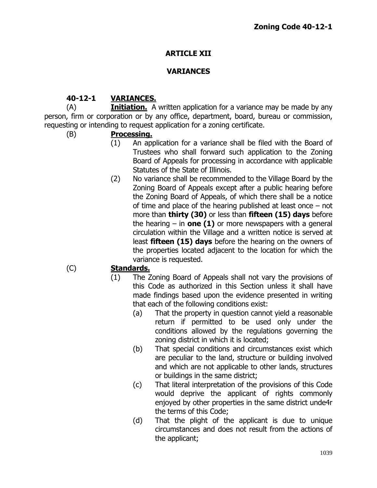# **ARTICLE XII**

# **VARIANCES**

# **40-12-1 VARIANCES.**

(A) **Initiation.** A written application for a variance may be made by any person, firm or corporation or by any office, department, board, bureau or commission, requesting or intending to request application for a zoning certificate.

## (B) **Processing.**

- (1) An application for a variance shall be filed with the Board of Trustees who shall forward such application to the Zoning Board of Appeals for processing in accordance with applicable Statutes of the State of Illinois.
- (2) No variance shall be recommended to the Village Board by the Zoning Board of Appeals except after a public hearing before the Zoning Board of Appeals, of which there shall be a notice of time and place of the hearing published at least once – not more than **thirty (30)** or less than **fifteen (15) days** before the hearing – in **one (1)** or more newspapers with a general circulation within the Village and a written notice is served at least **fifteen (15) days** before the hearing on the owners of the properties located adjacent to the location for which the variance is requested.

# (C) **Standards.**

- (1) The Zoning Board of Appeals shall not vary the provisions of this Code as authorized in this Section unless it shall have made findings based upon the evidence presented in writing that each of the following conditions exist:
	- (a) That the property in question cannot yield a reasonable return if permitted to be used only under the conditions allowed by the regulations governing the zoning district in which it is located;
	- (b) That special conditions and circumstances exist which are peculiar to the land, structure or building involved and which are not applicable to other lands, structures or buildings in the same district;
	- (c) That literal interpretation of the provisions of this Code would deprive the applicant of rights commonly enjoyed by other properties in the same district unde4r the terms of this Code;
	- (d) That the plight of the applicant is due to unique circumstances and does not result from the actions of the applicant;